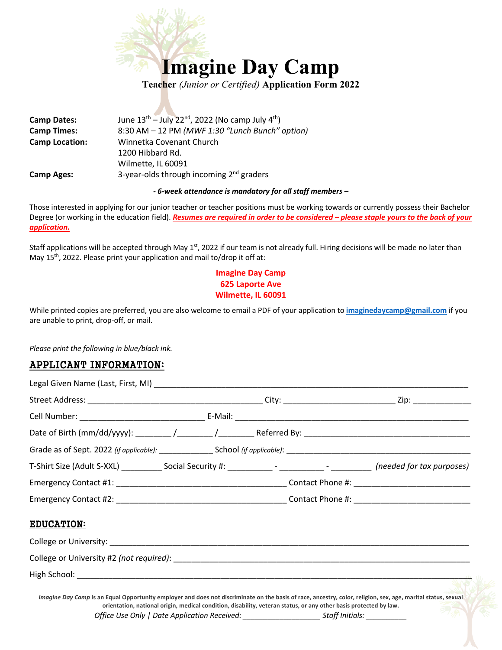

**Camp Dates:** June  $13<sup>th</sup> - July 22<sup>nd</sup>$ , 2022 (No camp July  $4<sup>th</sup>$ ) **Camp Times:** 8:30 AM – 12 PM *(MWF 1:30 "Lunch Bunch" option)* **Camp Location:** Winnetka Covenant Church 1200 Hibbard Rd. Wilmette, IL 60091 **Camp Ages:** 3-year-olds through incoming 2nd graders

#### *- 6-week attendance is mandatory for all staff members –*

Those interested in applying for our junior teacher or teacher positions must be working towards or currently possess their Bachelor Degree (or working in the education field). *Resumes are required in order to be considered – please staple yours to the back of your application.*

Staff applications will be accepted through May  $1<sup>st</sup>$ , 2022 if our team is not already full. Hiring decisions will be made no later than May 15<sup>th</sup>, 2022. Please print your application and mail to/drop it off at:

## **Imagine Day Camp 625 Laporte Ave Wilmette, IL 60091**

While printed copies are preferred, you are also welcome to email a PDF of your application to **imaginedaycamp@gmail.com** if you are unable to print, drop-off, or mail.

*Please print the following in blue/black ink.*

### APPLICANT INFORMATION:

| T-Shirt Size (Adult S-XXL) ____________ Social Security #: _____________- - _________________ (needed for tax purposes)                                       |                                                                                                                   |                 |  |
|---------------------------------------------------------------------------------------------------------------------------------------------------------------|-------------------------------------------------------------------------------------------------------------------|-----------------|--|
|                                                                                                                                                               |                                                                                                                   |                 |  |
|                                                                                                                                                               |                                                                                                                   |                 |  |
| <b>EDUCATION:</b>                                                                                                                                             |                                                                                                                   |                 |  |
|                                                                                                                                                               |                                                                                                                   |                 |  |
|                                                                                                                                                               |                                                                                                                   |                 |  |
|                                                                                                                                                               |                                                                                                                   |                 |  |
| Imagine Day Camp is an Equal Opportunity employer and does not discriminate on the basis of race, ancestry, color, religion, sex, age, marital status, sexual | orientation, national origin, medical condition, disability, veteran status, or any other basis protected by law. |                 |  |
|                                                                                                                                                               | Office Use Only   Date Application Received: _____________________                                                | Staff Initials: |  |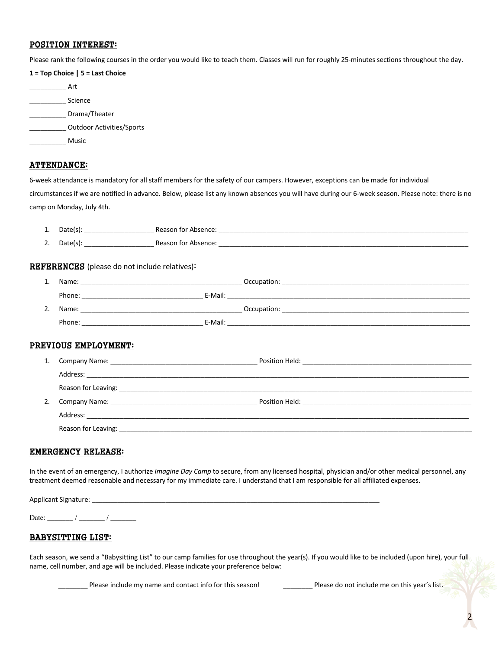### POSITION INTEREST:

Please rank the following courses in the order you would like to teach them. Classes will run for roughly 25-minutes sections throughout the day.

| $1 = Top Choice   5 = Last Choice$ |                                  |  |  |
|------------------------------------|----------------------------------|--|--|
| Art                                |                                  |  |  |
|                                    | Science                          |  |  |
|                                    | Drama/Theater                    |  |  |
|                                    | <b>Outdoor Activities/Sports</b> |  |  |
|                                    | Music                            |  |  |
|                                    |                                  |  |  |

#### ATTENDANCE:

6-week attendance is mandatory for all staff members for the safety of our campers. However, exceptions can be made for individual circumstances if we are notified in advance. Below, please list any known absences you will have during our 6-week season. Please note: there is no camp on Monday, July 4th.

| . . | -<br>,,,,<br>глат<br>$\sim$ | sence:<br>$\mathbf{a}$<br>tor<br>$\cdots$<br><b>Reason</b><br>A15<br>_________<br>_________________________ |
|-----|-----------------------------|-------------------------------------------------------------------------------------------------------------|
|     |                             |                                                                                                             |

2. Date(s): \_\_\_\_\_\_\_\_\_\_\_\_\_\_\_\_\_\_\_ Reason for Absence: \_\_\_\_\_\_\_\_\_\_\_\_\_\_\_\_\_\_\_\_\_\_\_\_\_\_\_\_\_\_\_\_\_\_\_\_\_\_\_\_\_\_\_\_\_\_\_\_\_\_\_\_\_\_\_\_\_\_\_\_\_\_\_\_\_\_\_\_

#### REFERENCES (please do not include relatives):

| ∸. | Name:  | Occupation: |
|----|--------|-------------|
|    | Phone: | E-Mail:     |
| 2. | Name:  | Occupation: |
|    | Phone: | E-Mail:     |
|    |        |             |

### PREVIOUS EMPLOYMENT:

| 1. |                                                                                                                                                                                                                                |  |
|----|--------------------------------------------------------------------------------------------------------------------------------------------------------------------------------------------------------------------------------|--|
|    |                                                                                                                                                                                                                                |  |
|    |                                                                                                                                                                                                                                |  |
| 2. | Company Name: The Company Name of the Company Name of the Company Name of the Company of the Company of the Co                                                                                                                 |  |
|    | Address: the contract of the contract of the contract of the contract of the contract of the contract of the contract of the contract of the contract of the contract of the contract of the contract of the contract of the c |  |
|    |                                                                                                                                                                                                                                |  |

#### EMERGENCY RELEASE:

In the event of an emergency, I authorize *Imagine Day Camp* to secure, from any licensed hospital, physician and/or other medical personnel, any treatment deemed reasonable and necessary for my immediate care. I understand that I am responsible for all affiliated expenses.

| Applicant Signature: |  |  |  |
|----------------------|--|--|--|
|                      |  |  |  |

Date: \_\_\_\_\_\_\_ / \_\_\_\_\_\_\_ / \_\_\_\_\_\_\_

#### BABYSITTING LIST:

Each season, we send a "Babysitting List" to our camp families for use throughout the year(s). If you would like to be included (upon hire), your full name, cell number, and age will be included. Please indicate your preference below:

Please include my name and contact info for this season! Please do not include me on this year's list.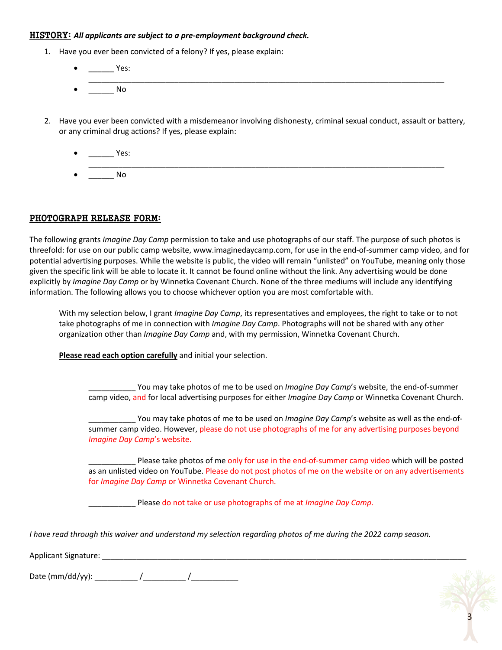#### HISTORY: *All applicants are subject to a pre-employment background check.*

- 1. Have you ever been convicted of a felony? If yes, please explain:
	- \_\_\_\_\_\_ Yes: \_\_\_\_\_\_\_\_\_\_\_\_\_\_\_\_\_\_\_\_\_\_\_\_\_\_\_\_\_\_\_\_\_\_\_\_\_\_\_\_\_\_\_\_\_\_\_\_\_\_\_\_\_\_\_\_\_\_\_\_\_\_\_\_\_\_\_\_\_\_\_\_\_\_\_\_\_\_\_\_\_\_\_  $No$
- 2. Have you ever been convicted with a misdemeanor involving dishonesty, criminal sexual conduct, assault or battery, or any criminal drug actions? If yes, please explain:
	- \_\_\_\_\_\_ Yes: \_\_\_\_\_\_\_\_\_\_\_\_\_\_\_\_\_\_\_\_\_\_\_\_\_\_\_\_\_\_\_\_\_\_\_\_\_\_\_\_\_\_\_\_\_\_\_\_\_\_\_\_\_\_\_\_\_\_\_\_\_\_\_\_\_\_\_\_\_\_\_\_\_\_\_\_\_\_\_\_\_\_\_  $No$

## PHOTOGRAPH RELEASE FORM:

The following grants *Imagine Day Camp* permission to take and use photographs of our staff. The purpose of such photos is threefold: for use on our public camp website, www.imaginedaycamp.com, for use in the end-of-summer camp video, and for potential advertising purposes. While the website is public, the video will remain "unlisted" on YouTube, meaning only those given the specific link will be able to locate it. It cannot be found online without the link. Any advertising would be done explicitly by *Imagine Day Camp* or by Winnetka Covenant Church. None of the three mediums will include any identifying information. The following allows you to choose whichever option you are most comfortable with.

With my selection below, I grant *Imagine Day Camp*, its representatives and employees, the right to take or to not take photographs of me in connection with *Imagine Day Camp*. Photographs will not be shared with any other organization other than *Imagine Day Camp* and, with my permission, Winnetka Covenant Church.

**Please read each option carefully** and initial your selection.

You may take photos of me to be used on *Imagine Day Camp's* website, the end-of-summer camp video, and for local advertising purposes for either *Imagine Day Camp* or Winnetka Covenant Church.

You may take photos of me to be used on *Imagine Day Camp's* website as well as the end-ofsummer camp video. However, please do not use photographs of me for any advertising purposes beyond *Imagine Day Camp*'s website.

Please take photos of me only for use in the end-of-summer camp video which will be posted as an unlisted video on YouTube. Please do not post photos of me on the website or on any advertisements for *Imagine Day Camp* or Winnetka Covenant Church.

\_\_\_\_\_\_\_\_\_\_\_ Please do not take or use photographs of me at *Imagine Day Camp*.

*I have read through this waiver and understand my selection regarding photos of me during the 2022 camp season.*

Applicant Signature: \_\_\_\_\_\_\_\_\_\_\_\_\_\_\_\_\_\_\_\_\_\_\_\_\_\_\_\_\_\_\_\_\_\_\_\_\_\_\_\_\_\_\_\_\_\_\_\_\_\_\_\_\_\_\_\_\_\_\_\_\_\_\_\_\_\_\_\_\_\_\_\_\_\_\_\_\_\_\_\_\_\_\_\_\_

Date  $(\text{mm}/\text{dd}/\text{yy})$ :  $\frac{1}{\sqrt{1-\frac{1}{2}}\left(\frac{1}{\sqrt{1-\frac{1}{2}}}\right)^{2}}$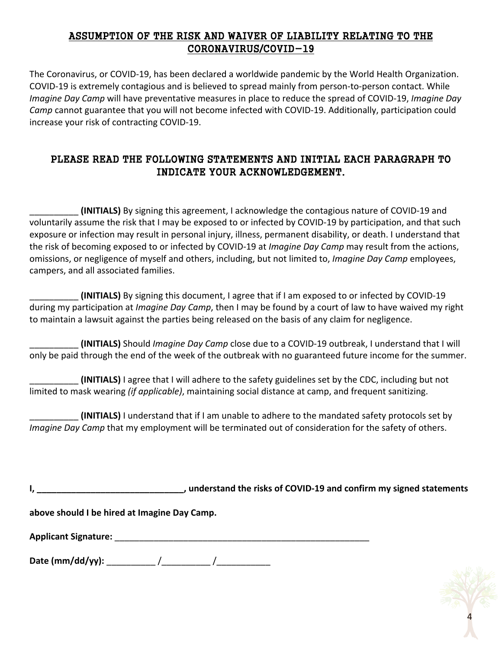# ASSUMPTION OF THE RISK AND WAIVER OF LIABILITY RELATING TO THE CORONAVIRUS/COVID-19

The Coronavirus, or COVID-19, has been declared a worldwide pandemic by the World Health Organization. COVID-19 is extremely contagious and is believed to spread mainly from person-to-person contact. While *Imagine Day Camp* will have preventative measures in place to reduce the spread of COVID-19, *Imagine Day Camp* cannot guarantee that you will not become infected with COVID-19. Additionally, participation could increase your risk of contracting COVID-19.

# PLEASE READ THE FOLLOWING STATEMENTS AND INITIAL EACH PARAGRAPH TO INDICATE YOUR ACKNOWLEDGEMENT.

\_\_\_\_\_\_\_\_\_\_ **(INITIALS)** By signing this agreement, I acknowledge the contagious nature of COVID-19 and voluntarily assume the risk that I may be exposed to or infected by COVID-19 by participation, and that such exposure or infection may result in personal injury, illness, permanent disability, or death. I understand that the risk of becoming exposed to or infected by COVID-19 at *Imagine Day Camp* may result from the actions, omissions, or negligence of myself and others, including, but not limited to, *Imagine Day Camp* employees, campers, and all associated families.

\_\_\_\_\_\_\_\_\_\_ **(INITIALS)** By signing this document, I agree that if I am exposed to or infected by COVID-19 during my participation at *Imagine Day Camp*, then I may be found by a court of law to have waived my right to maintain a lawsuit against the parties being released on the basis of any claim for negligence.

\_\_\_\_\_\_\_\_\_\_ **(INITIALS)** Should *Imagine Day Camp* close due to a COVID-19 outbreak, I understand that I will only be paid through the end of the week of the outbreak with no guaranteed future income for the summer.

\_\_\_\_\_\_\_\_\_\_ **(INITIALS)** I agree that I will adhere to the safety guidelines set by the CDC, including but not limited to mask wearing *(if applicable)*, maintaining social distance at camp, and frequent sanitizing.

\_\_\_\_\_\_\_\_\_\_ **(INITIALS)** I understand that if I am unable to adhere to the mandated safety protocols set by *Imagine Day Camp* that my employment will be terminated out of consideration for the safety of others.

| ι,                                               | understand the risks of COVID-19 and confirm my signed statements |
|--------------------------------------------------|-------------------------------------------------------------------|
| above should I be hired at Imagine Day Camp.     |                                                                   |
| <b>Applicant Signature:</b> Applicant Signature: |                                                                   |
| Date (mm/dd/yy): ___________/____________/       |                                                                   |

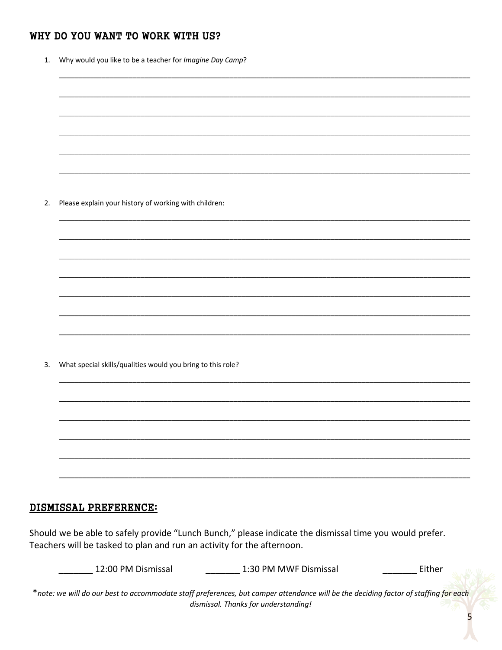## WHY DO YOU WANT TO WORK WITH US?

| 1. | Why would you like to be a teacher for Imagine Day Camp?    |  |  |  |
|----|-------------------------------------------------------------|--|--|--|
|    |                                                             |  |  |  |
|    |                                                             |  |  |  |
|    |                                                             |  |  |  |
|    |                                                             |  |  |  |
|    |                                                             |  |  |  |
| 2. | Please explain your history of working with children:       |  |  |  |
|    |                                                             |  |  |  |
|    |                                                             |  |  |  |
|    |                                                             |  |  |  |
|    |                                                             |  |  |  |
|    |                                                             |  |  |  |
|    |                                                             |  |  |  |
| 3. | What special skills/qualities would you bring to this role? |  |  |  |
|    |                                                             |  |  |  |
|    |                                                             |  |  |  |
|    |                                                             |  |  |  |
|    |                                                             |  |  |  |
|    |                                                             |  |  |  |
|    | IGMICALI DRUUDRUAU.                                         |  |  |  |

## DISMISSAL PREFERENCE:

Should we be able to safely provide "Lunch Bunch," please indicate the dismissal time you would prefer. Teachers will be tasked to plan and run an activity for the afternoon.

| 12:00 PM Dismissal | 1:30 PM MWF Dismissal                                                                                                               | Either |
|--------------------|-------------------------------------------------------------------------------------------------------------------------------------|--------|
|                    | *note: we will do our best to accommodate staff preferences, but camper attendance will be the deciding factor of staffing for eacl |        |
|                    | dismissal. Thanks for understanding!                                                                                                |        |